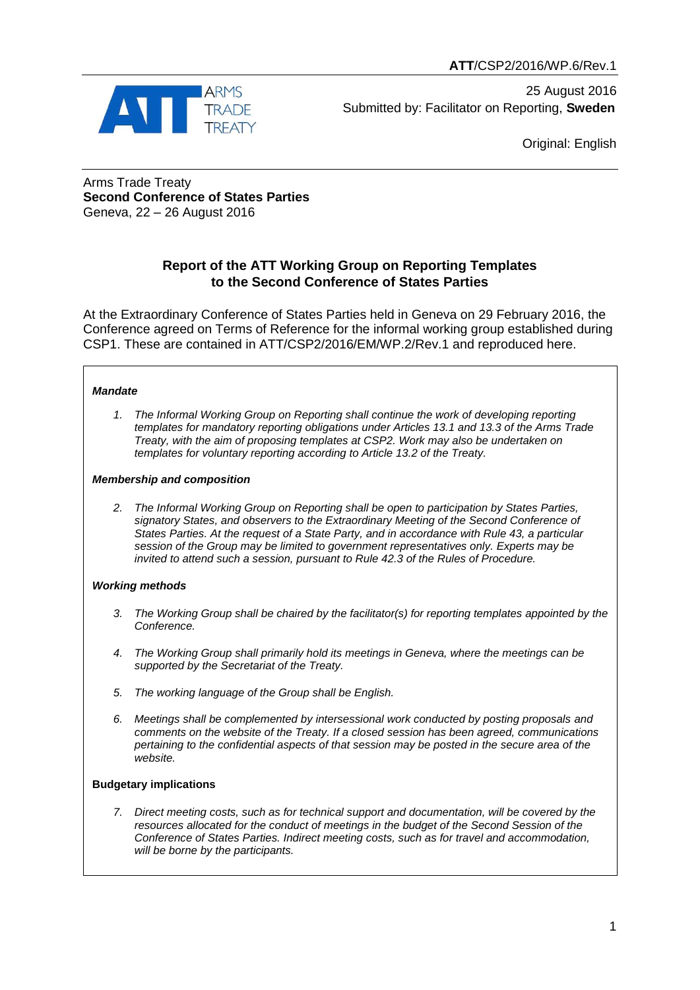

25 August 2016 Submitted by: Facilitator on Reporting, **Sweden**

Original: English

Arms Trade Treaty **Second Conference of States Parties** Geneva, 22 – 26 August 2016

# **Report of the ATT Working Group on Reporting Templates to the Second Conference of States Parties**

At the Extraordinary Conference of States Parties held in Geneva on 29 February 2016, the Conference agreed on Terms of Reference for the informal working group established during CSP1. These are contained in ATT/CSP2/2016/EM/WP.2/Rev.1 and reproduced here.

### *Mandate*

*1. The Informal Working Group on Reporting shall continue the work of developing reporting templates for mandatory reporting obligations under Articles 13.1 and 13.3 of the Arms Trade Treaty, with the aim of proposing templates at CSP2. Work may also be undertaken on templates for voluntary reporting according to Article 13.2 of the Treaty.*

### *Membership and composition*

*2. The Informal Working Group on Reporting shall be open to participation by States Parties, signatory States, and observers to the Extraordinary Meeting of the Second Conference of States Parties. At the request of a State Party, and in accordance with Rule 43, a particular session of the Group may be limited to government representatives only. Experts may be invited to attend such a session, pursuant to Rule 42.3 of the Rules of Procedure.*

### *Working methods*

- *3. The Working Group shall be chaired by the facilitator(s) for reporting templates appointed by the Conference.*
- *4. The Working Group shall primarily hold its meetings in Geneva, where the meetings can be supported by the Secretariat of the Treaty.*
- *5. The working language of the Group shall be English.*
- *6. Meetings shall be complemented by intersessional work conducted by posting proposals and comments on the website of the Treaty. If a closed session has been agreed, communications pertaining to the confidential aspects of that session may be posted in the secure area of the website.*

### **Budgetary implications**

*7. Direct meeting costs, such as for technical support and documentation, will be covered by the resources allocated for the conduct of meetings in the budget of the Second Session of the Conference of States Parties. Indirect meeting costs, such as for travel and accommodation, will be borne by the participants.*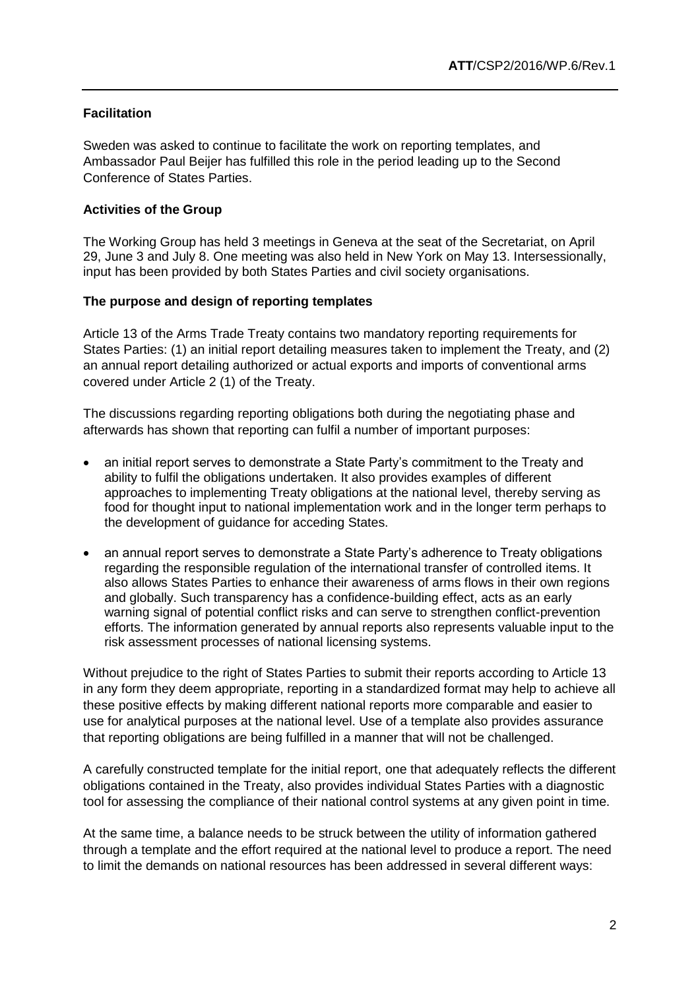## **Facilitation**

Sweden was asked to continue to facilitate the work on reporting templates, and Ambassador Paul Beijer has fulfilled this role in the period leading up to the Second Conference of States Parties.

## **Activities of the Group**

The Working Group has held 3 meetings in Geneva at the seat of the Secretariat, on April 29, June 3 and July 8. One meeting was also held in New York on May 13. Intersessionally, input has been provided by both States Parties and civil society organisations.

### **The purpose and design of reporting templates**

Article 13 of the Arms Trade Treaty contains two mandatory reporting requirements for States Parties: (1) an initial report detailing measures taken to implement the Treaty, and (2) an annual report detailing authorized or actual exports and imports of conventional arms covered under Article 2 (1) of the Treaty.

The discussions regarding reporting obligations both during the negotiating phase and afterwards has shown that reporting can fulfil a number of important purposes:

- an initial report serves to demonstrate a State Party's commitment to the Treaty and ability to fulfil the obligations undertaken. It also provides examples of different approaches to implementing Treaty obligations at the national level, thereby serving as food for thought input to national implementation work and in the longer term perhaps to the development of guidance for acceding States.
- an annual report serves to demonstrate a State Party's adherence to Treaty obligations regarding the responsible regulation of the international transfer of controlled items. It also allows States Parties to enhance their awareness of arms flows in their own regions and globally. Such transparency has a confidence-building effect, acts as an early warning signal of potential conflict risks and can serve to strengthen conflict-prevention efforts. The information generated by annual reports also represents valuable input to the risk assessment processes of national licensing systems.

Without prejudice to the right of States Parties to submit their reports according to Article 13 in any form they deem appropriate, reporting in a standardized format may help to achieve all these positive effects by making different national reports more comparable and easier to use for analytical purposes at the national level. Use of a template also provides assurance that reporting obligations are being fulfilled in a manner that will not be challenged.

A carefully constructed template for the initial report, one that adequately reflects the different obligations contained in the Treaty, also provides individual States Parties with a diagnostic tool for assessing the compliance of their national control systems at any given point in time.

At the same time, a balance needs to be struck between the utility of information gathered through a template and the effort required at the national level to produce a report. The need to limit the demands on national resources has been addressed in several different ways: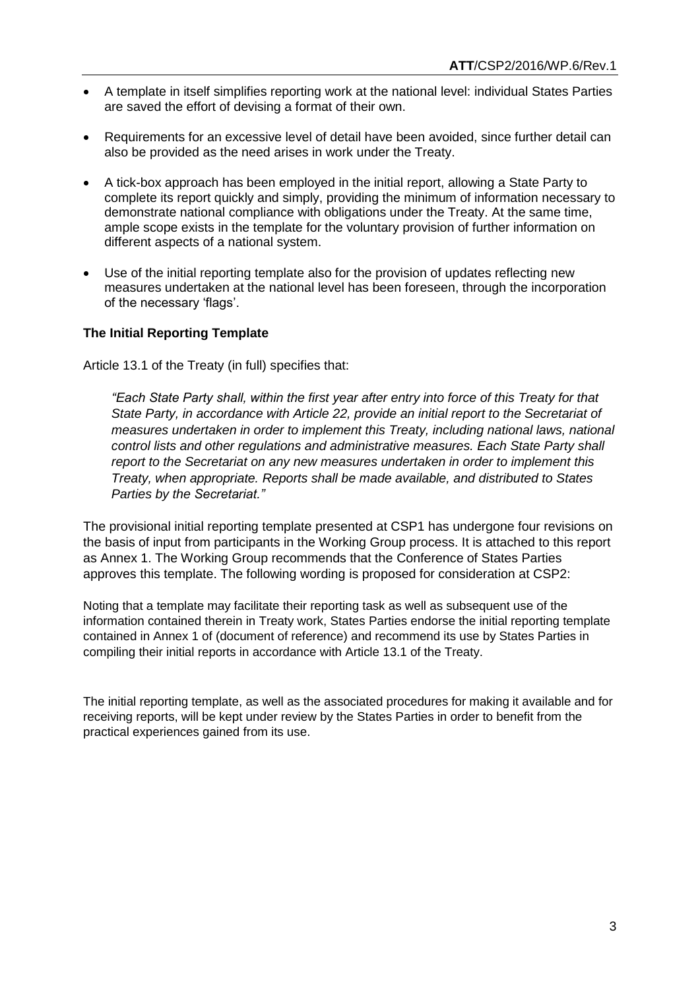- A template in itself simplifies reporting work at the national level: individual States Parties are saved the effort of devising a format of their own.
- Requirements for an excessive level of detail have been avoided, since further detail can also be provided as the need arises in work under the Treaty.
- A tick-box approach has been employed in the initial report, allowing a State Party to complete its report quickly and simply, providing the minimum of information necessary to demonstrate national compliance with obligations under the Treaty. At the same time, ample scope exists in the template for the voluntary provision of further information on different aspects of a national system.
- Use of the initial reporting template also for the provision of updates reflecting new measures undertaken at the national level has been foreseen, through the incorporation of the necessary 'flags'.

## **The Initial Reporting Template**

Article 13.1 of the Treaty (in full) specifies that:

*"Each State Party shall, within the first year after entry into force of this Treaty for that State Party, in accordance with Article 22, provide an initial report to the Secretariat of measures undertaken in order to implement this Treaty, including national laws, national control lists and other regulations and administrative measures. Each State Party shall report to the Secretariat on any new measures undertaken in order to implement this Treaty, when appropriate. Reports shall be made available, and distributed to States Parties by the Secretariat."*

The provisional initial reporting template presented at CSP1 has undergone four revisions on the basis of input from participants in the Working Group process. It is attached to this report as Annex 1. The Working Group recommends that the Conference of States Parties approves this template. The following wording is proposed for consideration at CSP2:

Noting that a template may facilitate their reporting task as well as subsequent use of the information contained therein in Treaty work, States Parties endorse the initial reporting template contained in Annex 1 of (document of reference) and recommend its use by States Parties in compiling their initial reports in accordance with Article 13.1 of the Treaty.

The initial reporting template, as well as the associated procedures for making it available and for receiving reports, will be kept under review by the States Parties in order to benefit from the practical experiences gained from its use.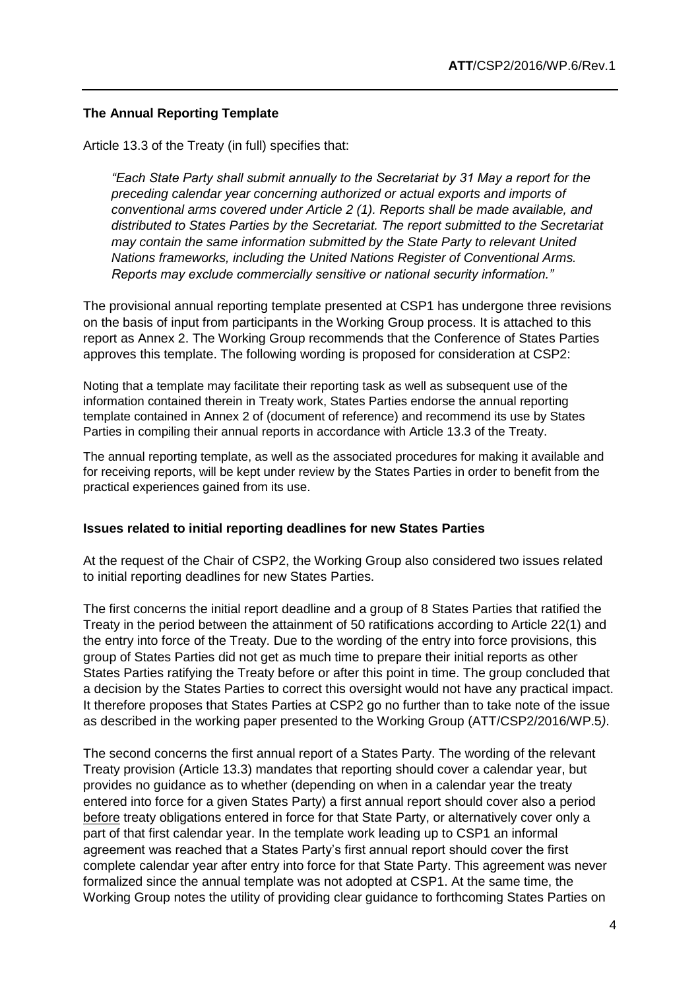## **The Annual Reporting Template**

Article 13.3 of the Treaty (in full) specifies that:

*"Each State Party shall submit annually to the Secretariat by 31 May a report for the preceding calendar year concerning authorized or actual exports and imports of conventional arms covered under Article 2 (1). Reports shall be made available, and distributed to States Parties by the Secretariat. The report submitted to the Secretariat may contain the same information submitted by the State Party to relevant United Nations frameworks, including the United Nations Register of Conventional Arms. Reports may exclude commercially sensitive or national security information."*

The provisional annual reporting template presented at CSP1 has undergone three revisions on the basis of input from participants in the Working Group process. It is attached to this report as Annex 2. The Working Group recommends that the Conference of States Parties approves this template. The following wording is proposed for consideration at CSP2:

Noting that a template may facilitate their reporting task as well as subsequent use of the information contained therein in Treaty work, States Parties endorse the annual reporting template contained in Annex 2 of (document of reference) and recommend its use by States Parties in compiling their annual reports in accordance with Article 13.3 of the Treaty.

The annual reporting template, as well as the associated procedures for making it available and for receiving reports, will be kept under review by the States Parties in order to benefit from the practical experiences gained from its use.

### **Issues related to initial reporting deadlines for new States Parties**

At the request of the Chair of CSP2, the Working Group also considered two issues related to initial reporting deadlines for new States Parties.

The first concerns the initial report deadline and a group of 8 States Parties that ratified the Treaty in the period between the attainment of 50 ratifications according to Article 22(1) and the entry into force of the Treaty. Due to the wording of the entry into force provisions, this group of States Parties did not get as much time to prepare their initial reports as other States Parties ratifying the Treaty before or after this point in time. The group concluded that a decision by the States Parties to correct this oversight would not have any practical impact. It therefore proposes that States Parties at CSP2 go no further than to take note of the issue as described in the working paper presented to the Working Group (ATT/CSP2/2016/WP.5*)*.

The second concerns the first annual report of a States Party. The wording of the relevant Treaty provision (Article 13.3) mandates that reporting should cover a calendar year, but provides no guidance as to whether (depending on when in a calendar year the treaty entered into force for a given States Party) a first annual report should cover also a period before treaty obligations entered in force for that State Party, or alternatively cover only a part of that first calendar year. In the template work leading up to CSP1 an informal agreement was reached that a States Party's first annual report should cover the first complete calendar year after entry into force for that State Party. This agreement was never formalized since the annual template was not adopted at CSP1. At the same time, the Working Group notes the utility of providing clear guidance to forthcoming States Parties on